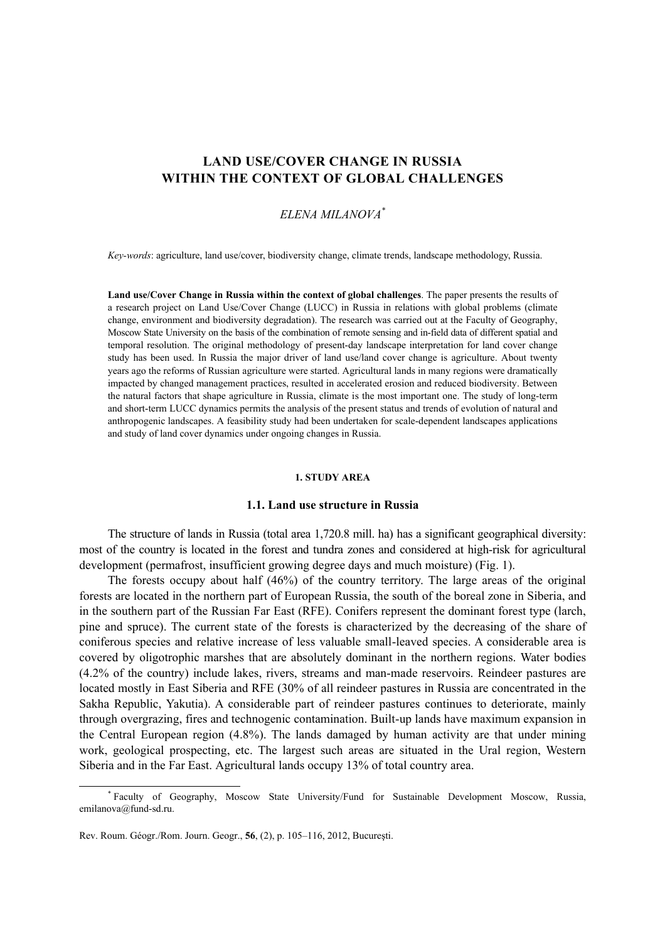# **LAND USE/COVER CHANGE IN RUSSIA WITHIN THE CONTEXT OF GLOBAL CHALLENGES**

# *ELENA MILANOVA\**

*Key-words*: agriculture, land use/cover, biodiversity change, climate trends, landscape methodology, Russia.

**Land use/Cover Change in Russia within the context of global challenges**. The paper presents the results of a research project on Land Use/Cover Change (LUCC) in Russia in relations with global problems (climate change, environment and biodiversity degradation). The research was carried out at the Faculty of Geography, Moscow State University on the basis of the combination of remote sensing and in-field data of different spatial and temporal resolution. The original methodology of present-day landscape interpretation for land cover change study has been used. In Russia the major driver of land use/land cover change is agriculture. About twenty years ago the reforms of Russian agriculture were started. Agricultural lands in many regions were dramatically impacted by changed management practices, resulted in accelerated erosion and reduced biodiversity. Between the natural factors that shape agriculture in Russia, climate is the most important one. The study of long-term and short-term LUCC dynamics permits the analysis of the present status and trends of evolution of natural and anthropogenic landscapes. A feasibility study had been undertaken for scale-dependent landscapes applications and study of land cover dynamics under ongoing changes in Russia.

#### **1. STUDY AREA**

#### **1.1. Land use structure in Russia**

The structure of lands in Russia (total area 1,720.8 mill. ha) has a significant geographical diversity: most of the country is located in the forest and tundra zones and considered at high-risk for agricultural development (permafrost, insufficient growing degree days and much moisture) (Fig. 1).

The forests occupy about half (46%) of the country territory. The large areas of the original forests are located in the northern part of European Russia, the south of the boreal zone in Siberia, and in the southern part of the Russian Far East (RFE). Conifers represent the dominant forest type (larch, pine and spruce). The current state of the forests is characterized by the decreasing of the share of coniferous species and relative increase of less valuable small-leaved species. A considerable area is covered by oligotrophic marshes that are absolutely dominant in the northern regions. Water bodies (4.2% of the country) include lakes, rivers, streams and man-made reservoirs. Reindeer pastures are located mostly in East Siberia and RFE (30% of all reindeer pastures in Russia are concentrated in the Sakha Republic, Yakutia). A considerable part of reindeer pastures continues to deteriorate, mainly through overgrazing, fires and technogenic contamination. Built-up lands have maximum expansion in the Central European region (4.8%). The lands damaged by human activity are that under mining work, geological prospecting, etc. The largest such areas are situated in the Ural region, Western Siberia and in the Far East. Agricultural lands occupy 13% of total country area.

 $\overline{\phantom{a}}$  Faculty of Geography, Moscow State University/Fund for Sustainable Development Moscow, Russia, emilanova@fund-sd.ru.

Rev. Roum. Géogr./Rom. Journ. Geogr., **56**, (2), p. 105–116, 2012, Bucureşti.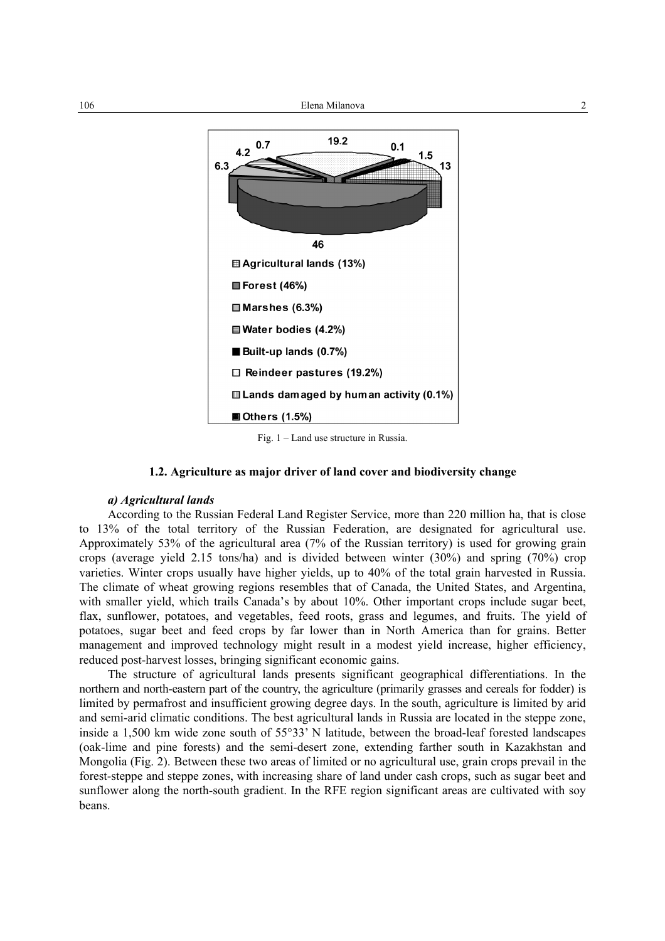

Fig. 1 – Land use structure in Russia.

### **1.2. Agriculture as major driver of land cover and biodiversity change**

### *a) Agricultural lands*

According to the Russian Federal Land Register Service, more than 220 million ha, that is close to 13% of the total territory of the Russian Federation, are designated for agricultural use. Approximately 53% of the agricultural area (7% of the Russian territory) is used for growing grain crops (average yield 2.15 tons/ha) and is divided between winter (30%) and spring (70%) crop varieties. Winter crops usually have higher yields, up to 40% of the total grain harvested in Russia. The climate of wheat growing regions resembles that of Canada, the United States, and Argentina, with smaller yield, which trails Canada's by about 10%. Other important crops include sugar beet, flax, sunflower, potatoes, and vegetables, feed roots, grass and legumes, and fruits. The yield of potatoes, sugar beet and feed crops by far lower than in North America than for grains. Better management and improved technology might result in a modest yield increase, higher efficiency, reduced post-harvest losses, bringing significant economic gains.

The structure of agricultural lands presents significant geographical differentiations. In the northern and north-eastern part of the country, the agriculture (primarily grasses and cereals for fodder) is limited by permafrost and insufficient growing degree days. In the south, agriculture is limited by arid and semi-arid climatic conditions. The best agricultural lands in Russia are located in the steppe zone, inside a 1,500 km wide zone south of 55°33' N latitude, between the broad-leaf forested landscapes (oak-lime and pine forests) and the semi-desert zone, extending farther south in Kazakhstan and Mongolia (Fig. 2). Between these two areas of limited or no agricultural use, grain crops prevail in the forest-steppe and steppe zones, with increasing share of land under cash crops, such as sugar beet and sunflower along the north-south gradient. In the RFE region significant areas are cultivated with soy beans.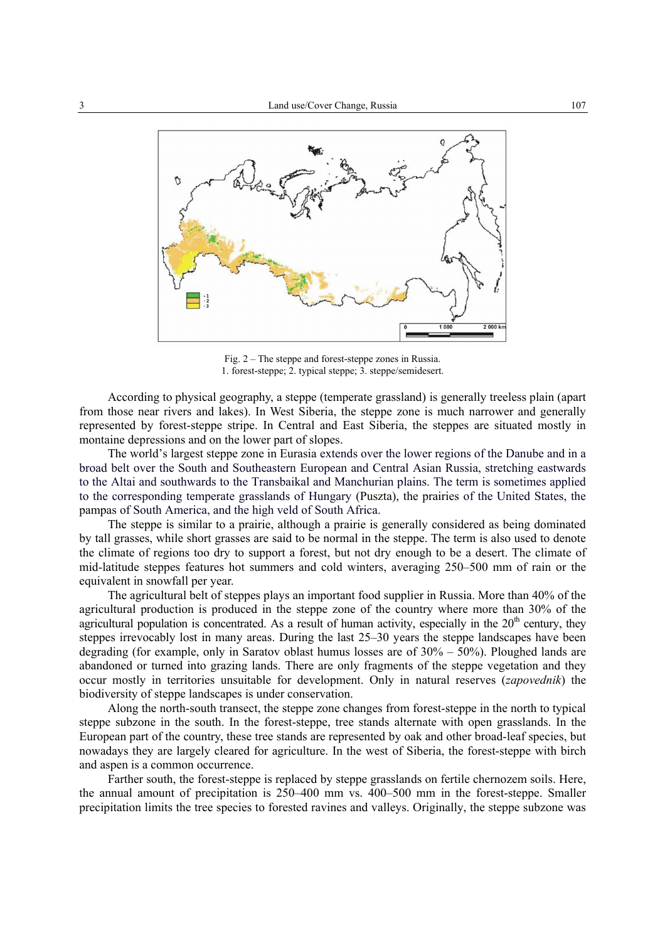

Fig. 2 – The steppe and forest-steppe zones in Russia. 1. forest-steppe; 2. typical steppe; 3. steppe/semidesert.

According to physical geography, a steppe (temperate grassland) is generally treeless plain (apart from those near rivers and lakes). In West Siberia, the steppe zone is much narrower and generally represented by forest-steppe stripe. In Central and East Siberia, the steppes are situated mostly in montaine depressions and on the lower part of slopes.

The world's largest steppe zone in Eurasia extends over the lower regions of the Danube and in a broad belt over the South and Southeastern European and Central Asian Russia, stretching eastwards to the Altai and southwards to the Transbaikal and Manchurian plains. The term is sometimes applied to the corresponding temperate grasslands of Hungary (Puszta), the prairies of the United States, the pampas of South America, and the high veld of South Africa.

The steppe is similar to a prairie, although a prairie is generally considered as being dominated by tall grasses, while short grasses are said to be normal in the steppe. The term is also used to denote the climate of regions too dry to support a forest, but not dry enough to be a desert. The climate of mid-latitude steppes features hot summers and cold winters, averaging 250–500 mm of rain or the equivalent in snowfall per year.

The agricultural belt of steppes plays an important food supplier in Russia. More than 40% of the agricultural production is produced in the steppe zone of the country where more than 30% of the agricultural population is concentrated. As a result of human activity, especially in the  $20<sup>th</sup>$  century, they steppes irrevocably lost in many areas. During the last 25–30 years the steppe landscapes have been degrading (for example, only in Saratov oblast humus losses are of 30% – 50%). Ploughed lands are abandoned or turned into grazing lands. There are only fragments of the steppe vegetation and they occur mostly in territories unsuitable for development. Only in natural reserves (*zapovednik*) the biodiversity of steppe landscapes is under conservation.

Along the north-south transect, the steppe zone changes from forest-steppe in the north to typical steppe subzone in the south. In the forest-steppe, tree stands alternate with open grasslands. In the European part of the country, these tree stands are represented by oak and other broad-leaf species, but nowadays they are largely cleared for agriculture. In the west of Siberia, the forest-steppe with birch and aspen is a common occurrence.

Farther south, the forest-steppe is replaced by steppe grasslands on fertile chernozem soils. Here, the annual amount of precipitation is 250–400 mm vs. 400–500 mm in the forest-steppe. Smaller precipitation limits the tree species to forested ravines and valleys. Originally, the steppe subzone was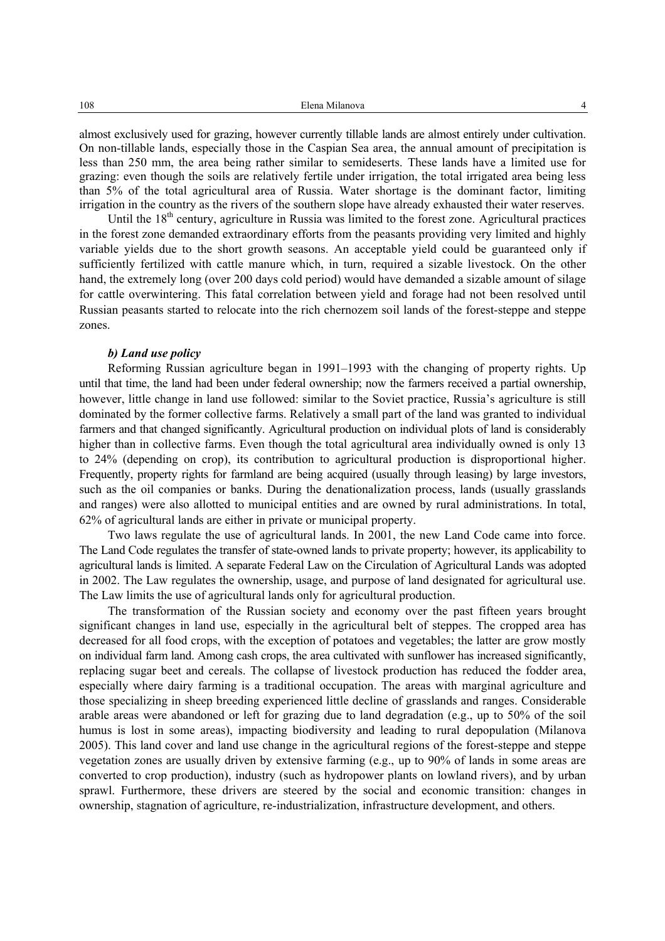almost exclusively used for grazing, however currently tillable lands are almost entirely under cultivation. On non-tillable lands, especially those in the Caspian Sea area, the annual amount of precipitation is less than 250 mm, the area being rather similar to semideserts. These lands have a limited use for grazing: even though the soils are relatively fertile under irrigation, the total irrigated area being less than 5% of the total agricultural area of Russia. Water shortage is the dominant factor, limiting irrigation in the country as the rivers of the southern slope have already exhausted their water reserves.

Until the  $18<sup>th</sup>$  century, agriculture in Russia was limited to the forest zone. Agricultural practices in the forest zone demanded extraordinary efforts from the peasants providing very limited and highly variable yields due to the short growth seasons. An acceptable yield could be guaranteed only if sufficiently fertilized with cattle manure which, in turn, required a sizable livestock. On the other hand, the extremely long (over 200 days cold period) would have demanded a sizable amount of silage for cattle overwintering. This fatal correlation between yield and forage had not been resolved until Russian peasants started to relocate into the rich chernozem soil lands of the forest-steppe and steppe zones.

### *b) Land use policy*

Reforming Russian agriculture began in 1991–1993 with the changing of property rights. Up until that time, the land had been under federal ownership; now the farmers received a partial ownership, however, little change in land use followed: similar to the Soviet practice, Russia's agriculture is still dominated by the former collective farms. Relatively a small part of the land was granted to individual farmers and that changed significantly. Agricultural production on individual plots of land is considerably higher than in collective farms. Even though the total agricultural area individually owned is only 13 to 24% (depending on crop), its contribution to agricultural production is disproportional higher. Frequently, property rights for farmland are being acquired (usually through leasing) by large investors, such as the oil companies or banks. During the denationalization process, lands (usually grasslands and ranges) were also allotted to municipal entities and are owned by rural administrations. In total, 62% of agricultural lands are either in private or municipal property.

Two laws regulate the use of agricultural lands. In 2001, the new Land Code came into force. The Land Code regulates the transfer of state-owned lands to private property; however, its applicability to agricultural lands is limited. A separate Federal Law on the Circulation of Agricultural Lands was adopted in 2002. The Law regulates the ownership, usage, and purpose of land designated for agricultural use. The Law limits the use of agricultural lands only for agricultural production.

The transformation of the Russian society and economy over the past fifteen years brought significant changes in land use, especially in the agricultural belt of steppes. The cropped area has decreased for all food crops, with the exception of potatoes and vegetables; the latter are grow mostly on individual farm land. Among cash crops, the area cultivated with sunflower has increased significantly, replacing sugar beet and cereals. The collapse of livestock production has reduced the fodder area, especially where dairy farming is a traditional occupation. The areas with marginal agriculture and those specializing in sheep breeding experienced little decline of grasslands and ranges. Considerable arable areas were abandoned or left for grazing due to land degradation (e.g., up to 50% of the soil humus is lost in some areas), impacting biodiversity and leading to rural depopulation (Milanova 2005). This land cover and land use change in the agricultural regions of the forest-steppe and steppe vegetation zones are usually driven by extensive farming (e.g., up to 90% of lands in some areas are converted to crop production), industry (such as hydropower plants on lowland rivers), and by urban sprawl. Furthermore, these drivers are steered by the social and economic transition: changes in ownership, stagnation of agriculture, re-industrialization, infrastructure development, and others.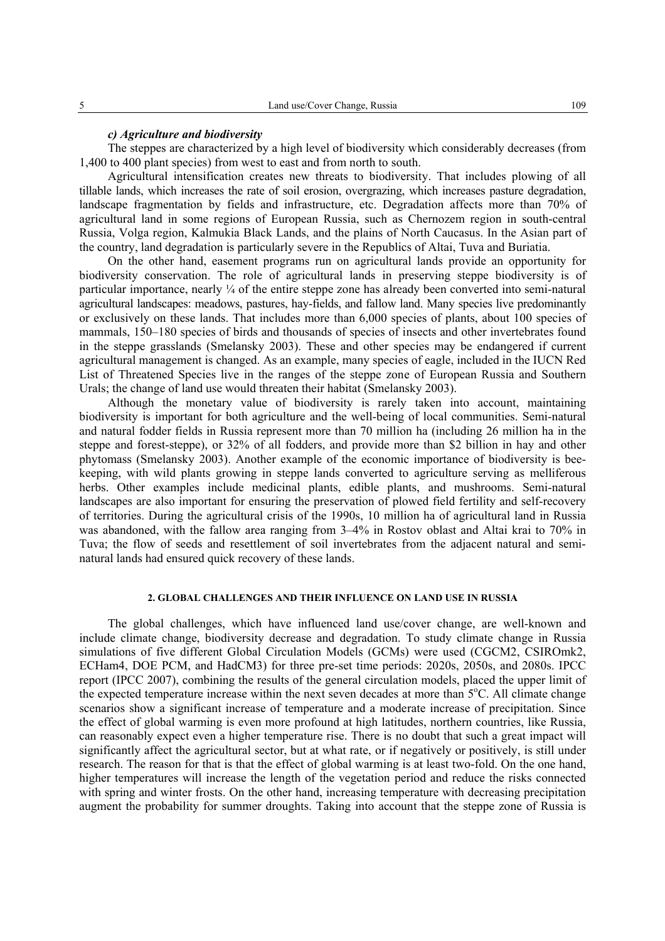### *c) Agriculture and biodiversity*

The steppes are characterized by a high level of biodiversity which considerably decreases (from 1,400 to 400 plant species) from west to east and from north to south.

Agricultural intensification creates new threats to biodiversity. That includes plowing of all tillable lands, which increases the rate of soil erosion, overgrazing, which increases pasture degradation, landscape fragmentation by fields and infrastructure, etc. Degradation affects more than 70% of agricultural land in some regions of European Russia, such as Chernozem region in south-central Russia, Volga region, Kalmukia Black Lands, and the plains of North Caucasus. In the Asian part of the country, land degradation is particularly severe in the Republics of Altai, Tuva and Buriatia.

On the other hand, easement programs run on agricultural lands provide an opportunity for biodiversity conservation. The role of agricultural lands in preserving steppe biodiversity is of particular importance, nearly ¼ of the entire steppe zone has already been converted into semi-natural agricultural landscapes: meadows, pastures, hay-fields, and fallow land. Many species live predominantly or exclusively on these lands. That includes more than 6,000 species of plants, about 100 species of mammals, 150–180 species of birds and thousands of species of insects and other invertebrates found in the steppe grasslands (Smelansky 2003). These and other species may be endangered if current agricultural management is changed. As an example, many species of eagle, included in the IUCN Red List of Threatened Species live in the ranges of the steppe zone of European Russia and Southern Urals; the change of land use would threaten their habitat (Smelansky 2003).

Although the monetary value of biodiversity is rarely taken into account, maintaining biodiversity is important for both agriculture and the well-being of local communities. Semi-natural and natural fodder fields in Russia represent more than 70 million ha (including 26 million ha in the steppe and forest-steppe), or 32% of all fodders, and provide more than \$2 billion in hay and other phytomass (Smelansky 2003). Another example of the economic importance of biodiversity is beekeeping, with wild plants growing in steppe lands converted to agriculture serving as melliferous herbs. Other examples include medicinal plants, edible plants, and mushrooms. Semi-natural landscapes are also important for ensuring the preservation of plowed field fertility and self-recovery of territories. During the agricultural crisis of the 1990s, 10 million ha of agricultural land in Russia was abandoned, with the fallow area ranging from 3–4% in Rostov oblast and Altai krai to 70% in Tuva; the flow of seeds and resettlement of soil invertebrates from the adjacent natural and seminatural lands had ensured quick recovery of these lands.

### **2. GLOBAL CHALLENGES AND THEIR INFLUENCE ON LAND USE IN RUSSIA**

The global challenges, which have influenced land use/cover change, are well-known and include climate change, biodiversity decrease and degradation. To study climate change in Russia simulations of five different Global Circulation Models (GCMs) were used (CGCM2, CSIROmk2, ECHam4, DOE PCM, and HadCM3) for three pre-set time periods: 2020s, 2050s, and 2080s. IPCC report (IPCC 2007), combining the results of the general circulation models, placed the upper limit of the expected temperature increase within the next seven decades at more than 5°C. All climate change scenarios show a significant increase of temperature and a moderate increase of precipitation. Since the effect of global warming is even more profound at high latitudes, northern countries, like Russia, can reasonably expect even a higher temperature rise. There is no doubt that such a great impact will significantly affect the agricultural sector, but at what rate, or if negatively or positively, is still under research. The reason for that is that the effect of global warming is at least two-fold. On the one hand, higher temperatures will increase the length of the vegetation period and reduce the risks connected with spring and winter frosts. On the other hand, increasing temperature with decreasing precipitation augment the probability for summer droughts. Taking into account that the steppe zone of Russia is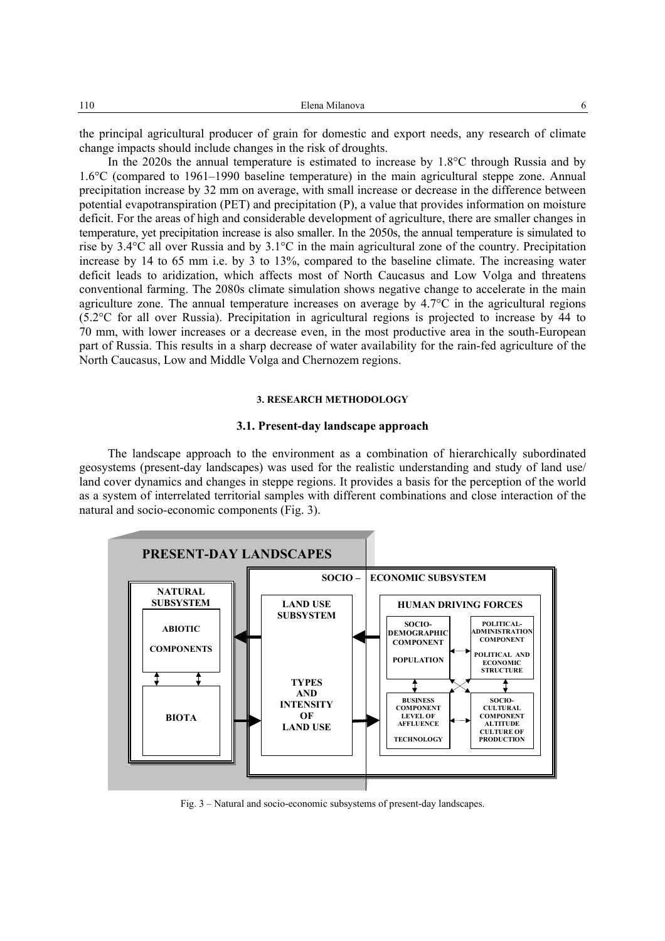the principal agricultural producer of grain for domestic and export needs, any research of climate change impacts should include changes in the risk of droughts.

In the 2020s the annual temperature is estimated to increase by 1.8°C through Russia and by 1.6°C (compared to 1961–1990 baseline temperature) in the main agricultural steppe zone. Annual precipitation increase by 32 mm on average, with small increase or decrease in the difference between potential evapotranspiration (PET) and precipitation (P), a value that provides information on moisture deficit. For the areas of high and considerable development of agriculture, there are smaller changes in temperature, yet precipitation increase is also smaller. In the 2050s, the annual temperature is simulated to rise by 3.4°C all over Russia and by 3.1°C in the main agricultural zone of the country. Precipitation increase by 14 to 65 mm i.e. by 3 to 13%, compared to the baseline climate. The increasing water deficit leads to aridization, which affects most of North Caucasus and Low Volga and threatens conventional farming. The 2080s climate simulation shows negative change to accelerate in the main agriculture zone. The annual temperature increases on average by 4.7°C in the agricultural regions (5.2°C for all over Russia). Precipitation in agricultural regions is projected to increase by 44 to 70 mm, with lower increases or a decrease even, in the most productive area in the south-European part of Russia. This results in a sharp decrease of water availability for the rain-fed agriculture of the North Caucasus, Low and Middle Volga and Chernozem regions.

### **3. RESEARCH METHODOLOGY**

#### **3.1. Present-day landscape approach**

The landscape approach to the environment as a combination of hierarchically subordinated geosystems (present-day landscapes) was used for the realistic understanding and study of land use/ land cover dynamics and changes in steppe regions. It provides a basis for the perception of the world as a system of interrelated territorial samples with different combinations and close interaction of the natural and socio-economic components (Fig. 3).



Fig. 3 – Natural and socio-economic subsystems of present-day landscapes.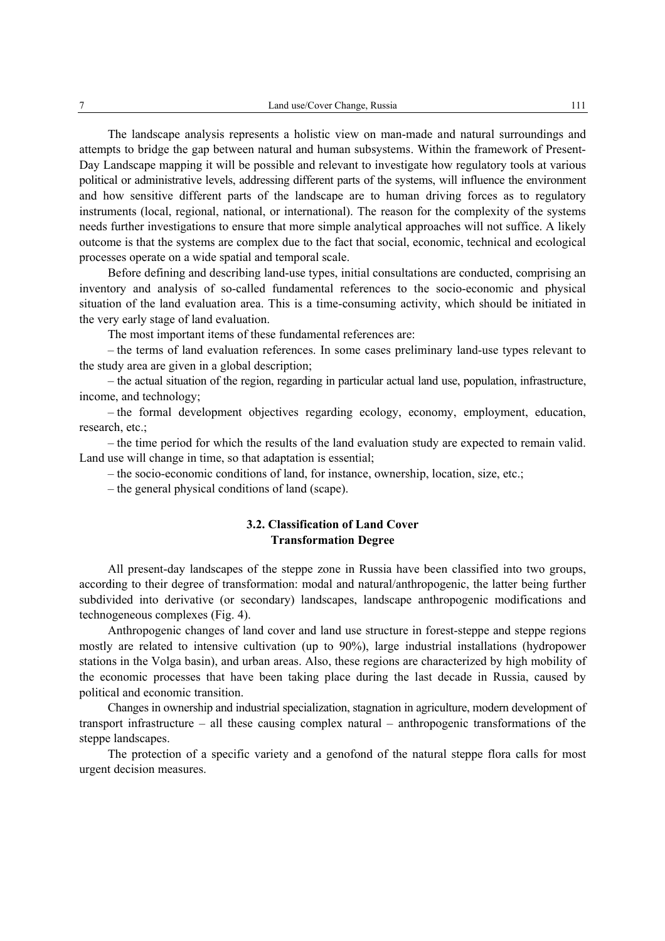The landscape analysis represents a holistic view on man-made and natural surroundings and attempts to bridge the gap between natural and human subsystems. Within the framework of Present-Day Landscape mapping it will be possible and relevant to investigate how regulatory tools at various political or administrative levels, addressing different parts of the systems, will influence the environment and how sensitive different parts of the landscape are to human driving forces as to regulatory instruments (local, regional, national, or international). The reason for the complexity of the systems needs further investigations to ensure that more simple analytical approaches will not suffice. A likely outcome is that the systems are complex due to the fact that social, economic, technical and ecological processes operate on a wide spatial and temporal scale.

Before defining and describing land-use types, initial consultations are conducted, comprising an inventory and analysis of so-called fundamental references to the socio-economic and physical situation of the land evaluation area. This is a time-consuming activity, which should be initiated in the very early stage of land evaluation.

The most important items of these fundamental references are:

– the terms of land evaluation references. In some cases preliminary land-use types relevant to the study area are given in a global description;

– the actual situation of the region, regarding in particular actual land use, population, infrastructure, income, and technology;

– the formal development objectives regarding ecology, economy, employment, education, research, etc.;

– the time period for which the results of the land evaluation study are expected to remain valid. Land use will change in time, so that adaptation is essential;

– the socio-economic conditions of land, for instance, ownership, location, size, etc.;

– the general physical conditions of land (scape).

## **3.2. Classification of Land Cover Transformation Degree**

All present-day landscapes of the steppe zone in Russia have been classified into two groups, according to their degree of transformation: modal and natural/anthropogenic, the latter being further subdivided into derivative (or secondary) landscapes, landscape anthropogenic modifications and technogeneous complexes (Fig. 4).

Anthropogenic changes of land cover and land use structure in forest-steppe and steppe regions mostly are related to intensive cultivation (up to 90%), large industrial installations (hydropower stations in the Volga basin), and urban areas. Also, these regions are characterized by high mobility of the economic processes that have been taking place during the last decade in Russia, caused by political and economic transition.

Changes in ownership and industrial specialization, stagnation in agriculture, modern development of transport infrastructure – all these causing complex natural – anthropogenic transformations of the steppe landscapes.

The protection of a specific variety and a genofond of the natural steppe flora calls for most urgent decision measures.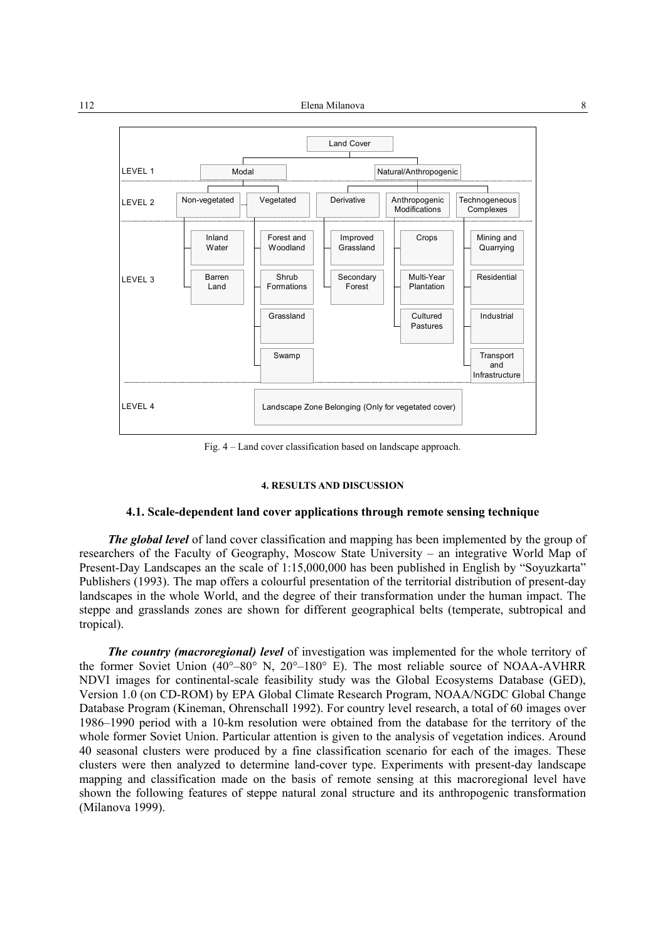

Fig. 4 – Land cover classification based on landscape approach.

#### **4. RESULTS AND DISCUSSION**

### **4.1. Scale-dependent land cover applications through remote sensing technique**

*The global level* of land cover classification and mapping has been implemented by the group of researchers of the Faculty of Geography, Moscow State University – an integrative World Map of Present-Day Landscapes an the scale of 1:15,000,000 has been published in English by "Soyuzkarta" Publishers (1993). The map offers a colourful presentation of the territorial distribution of present-day landscapes in the whole World, and the degree of their transformation under the human impact. The steppe and grasslands zones are shown for different geographical belts (temperate, subtropical and tropical).

*The country (macroregional) level* of investigation was implemented for the whole territory of the former Soviet Union (40°–80° N, 20°–180° E). The most reliable source of NOAA-AVHRR NDVI images for continental-scale feasibility study was the Global Ecosystems Database (GED), Version 1.0 (on CD-ROM) by EPA Global Climate Research Program, NOAA/NGDC Global Change Database Program (Kineman, Ohrenschall 1992). For country level research, a total of 60 images over 1986–1990 period with a 10-km resolution were obtained from the database for the territory of the whole former Soviet Union. Particular attention is given to the analysis of vegetation indices. Around 40 seasonal clusters were produced by a fine classification scenario for each of the images. These clusters were then analyzed to determine land-cover type. Experiments with present-day landscape mapping and classification made on the basis of remote sensing at this macroregional level have shown the following features of steppe natural zonal structure and its anthropogenic transformation (Milanova 1999).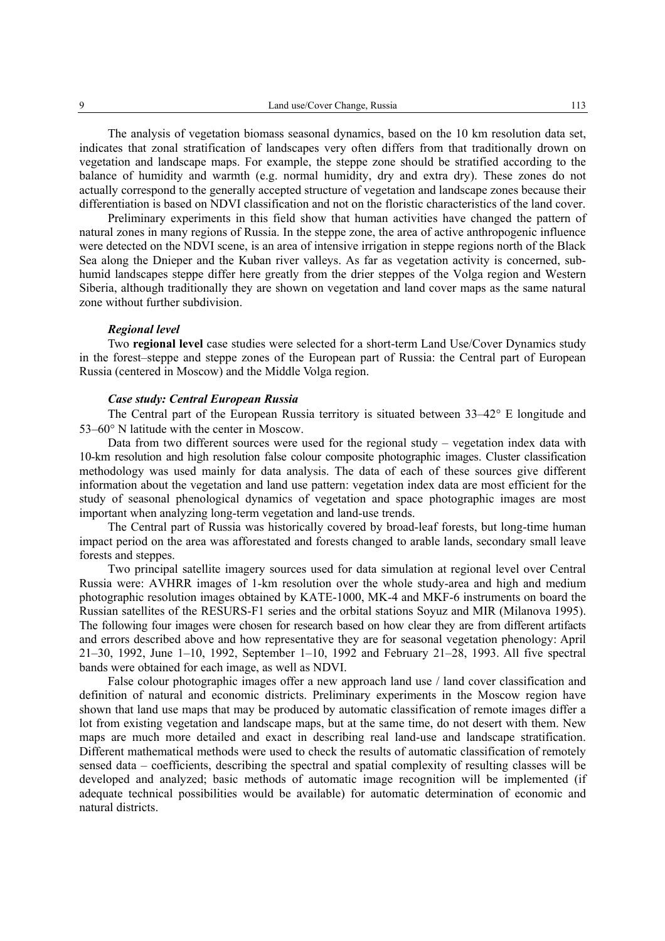The analysis of vegetation biomass seasonal dynamics, based on the 10 km resolution data set, indicates that zonal stratification of landscapes very often differs from that traditionally drown on vegetation and landscape maps. For example, the steppe zone should be stratified according to the balance of humidity and warmth (e.g. normal humidity, dry and extra dry). These zones do not actually correspond to the generally accepted structure of vegetation and landscape zones because their differentiation is based on NDVI classification and not on the floristic characteristics of the land cover.

Preliminary experiments in this field show that human activities have changed the pattern of natural zones in many regions of Russia. In the steppe zone, the area of active anthropogenic influence were detected on the NDVI scene, is an area of intensive irrigation in steppe regions north of the Black Sea along the Dnieper and the Kuban river valleys. As far as vegetation activity is concerned, subhumid landscapes steppe differ here greatly from the drier steppes of the Volga region and Western Siberia, although traditionally they are shown on vegetation and land cover maps as the same natural zone without further subdivision.

### *Regional level*

Two **regional level** case studies were selected for a short-term Land Use/Cover Dynamics study in the forest–steppe and steppe zones of the European part of Russia: the Central part of European Russia (centered in Moscow) and the Middle Volga region.

### *Case study: Central European Russia*

The Central part of the European Russia territory is situated between 33–42° E longitude and 53–60° N latitude with the center in Moscow.

Data from two different sources were used for the regional study – vegetation index data with 10-km resolution and high resolution false colour composite photographic images. Cluster classification methodology was used mainly for data analysis. The data of each of these sources give different information about the vegetation and land use pattern: vegetation index data are most efficient for the study of seasonal phenological dynamics of vegetation and space photographic images are most important when analyzing long-term vegetation and land-use trends.

The Central part of Russia was historically covered by broad-leaf forests, but long-time human impact period on the area was afforestated and forests changed to arable lands, secondary small leave forests and steppes.

Two principal satellite imagery sources used for data simulation at regional level over Central Russia were: AVHRR images of 1-km resolution over the whole study-area and high and medium photographic resolution images obtained by KATE-1000, MK-4 and MKF-6 instruments on board the Russian satellites of the RESURS-F1 series and the orbital stations Soyuz and MIR (Milanova 1995). The following four images were chosen for research based on how clear they are from different artifacts and errors described above and how representative they are for seasonal vegetation phenology: April 21–30, 1992, June 1–10, 1992, September 1–10, 1992 and February 21–28, 1993. All five spectral bands were obtained for each image, as well as NDVI.

False colour photographic images offer a new approach land use / land cover classification and definition of natural and economic districts. Preliminary experiments in the Moscow region have shown that land use maps that may be produced by automatic classification of remote images differ a lot from existing vegetation and landscape maps, but at the same time, do not desert with them. New maps are much more detailed and exact in describing real land-use and landscape stratification. Different mathematical methods were used to check the results of automatic classification of remotely sensed data – coefficients, describing the spectral and spatial complexity of resulting classes will be developed and analyzed; basic methods of automatic image recognition will be implemented (if adequate technical possibilities would be available) for automatic determination of economic and natural districts.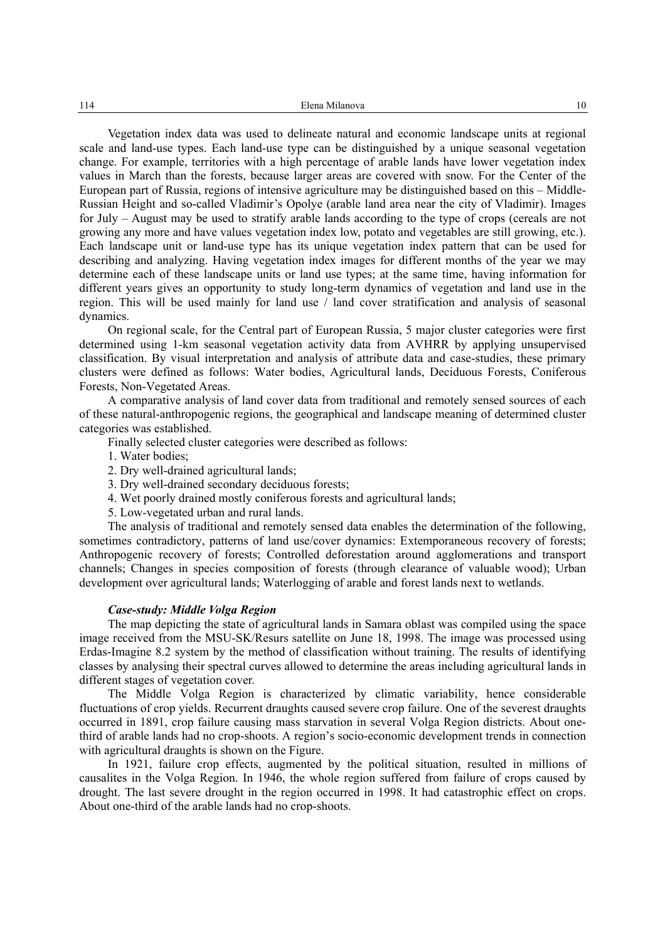Vegetation index data was used to delineate natural and economic landscape units at regional scale and land-use types. Each land-use type can be distinguished by a unique seasonal vegetation change. For example, territories with a high percentage of arable lands have lower vegetation index values in March than the forests, because larger areas are covered with snow. For the Center of the European part of Russia, regions of intensive agriculture may be distinguished based on this – Middle-Russian Height and so-called Vladimir's Opolye (arable land area near the city of Vladimir). Images for July – August may be used to stratify arable lands according to the type of crops (cereals are not growing any more and have values vegetation index low, potato and vegetables are still growing, etc.). Each landscape unit or land-use type has its unique vegetation index pattern that can be used for describing and analyzing. Having vegetation index images for different months of the year we may determine each of these landscape units or land use types; at the same time, having information for different years gives an opportunity to study long-term dynamics of vegetation and land use in the region. This will be used mainly for land use / land cover stratification and analysis of seasonal dynamics.

On regional scale, for the Central part of European Russia, 5 major cluster categories were first determined using 1-km seasonal vegetation activity data from AVHRR by applying unsupervised classification. By visual interpretation and analysis of attribute data and case-studies, these primary clusters were defined as follows: Water bodies, Agricultural lands, Deciduous Forests, Coniferous Forests, Non-Vegetated Areas.

A comparative analysis of land cover data from traditional and remotely sensed sources of each of these natural-anthropogenic regions, the geographical and landscape meaning of determined cluster categories was established.

Finally selected cluster categories were described as follows:

- 1. Water bodies;
- 2. Dry well-drained agricultural lands;
- 3. Dry well-drained secondary deciduous forests;
- 4. Wet poorly drained mostly coniferous forests and agricultural lands;
- 5. Low-vegetated urban and rural lands.

The analysis of traditional and remotely sensed data enables the determination of the following, sometimes contradictory, patterns of land use/cover dynamics: Extemporaneous recovery of forests; Anthropogenic recovery of forests; Controlled deforestation around agglomerations and transport channels; Changes in species composition of forests (through clearance of valuable wood); Urban development over agricultural lands; Waterlogging of arable and forest lands next to wetlands.

### *Case-study: Middle Volga Region*

The map depicting the state of agricultural lands in Samara oblast was compiled using the space image received from the MSU-SK/Resurs satellite on June 18, 1998. The image was processed using Erdas-Imagine 8.2 system by the method of classification without training. The results of identifying classes by analysing their spectral curves allowed to determine the areas including agricultural lands in different stages of vegetation cover.

The Middle Volga Region is characterized by climatic variability, hence considerable fluctuations of crop yields. Recurrent draughts caused severe crop failure. One of the severest draughts occurred in 1891, crop failure causing mass starvation in several Volga Region districts. About onethird of arable lands had no crop-shoots. A region's socio-economic development trends in connection with agricultural draughts is shown on the Figure.

In 1921, failure crop effects, augmented by the political situation, resulted in millions of causalites in the Volga Region. In 1946, the whole region suffered from failure of crops caused by drought. The last severe drought in the region occurred in 1998. It had catastrophic effect on crops. About one-third of the arable lands had no crop-shoots.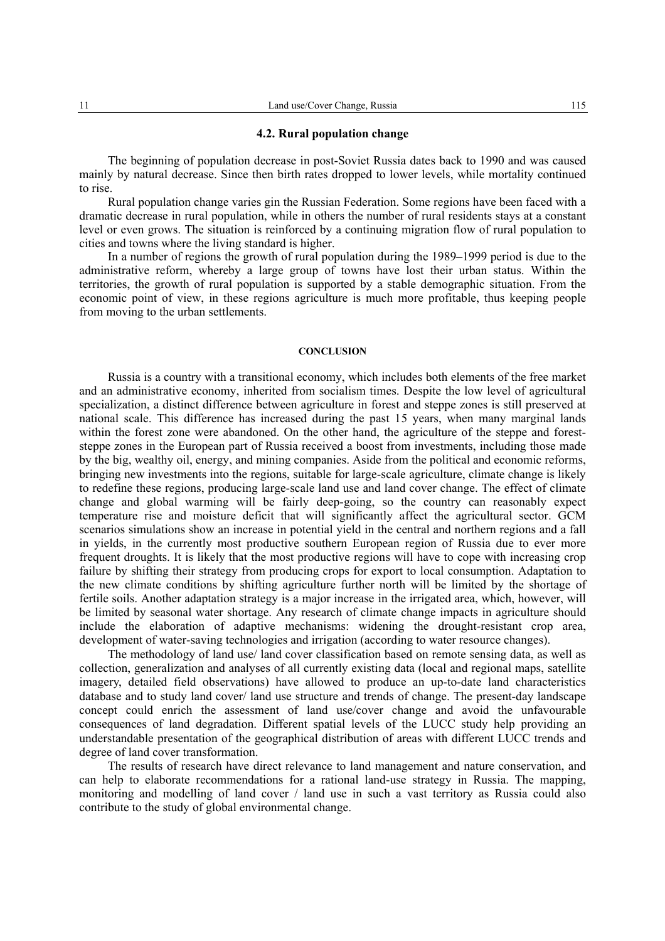#### **4.2. Rural population change**

The beginning of population decrease in post-Soviet Russia dates back to 1990 and was caused mainly by natural decrease. Since then birth rates dropped to lower levels, while mortality continued to rise.

Rural population change varies gin the Russian Federation. Some regions have been faced with a dramatic decrease in rural population, while in others the number of rural residents stays at a constant level or even grows. The situation is reinforced by a continuing migration flow of rural population to cities and towns where the living standard is higher.

In a number of regions the growth of rural population during the 1989–1999 period is due to the administrative reform, whereby a large group of towns have lost their urban status. Within the territories, the growth of rural population is supported by a stable demographic situation. From the economic point of view, in these regions agriculture is much more profitable, thus keeping people from moving to the urban settlements.

#### **CONCLUSION**

Russia is a country with a transitional economy, which includes both elements of the free market and an administrative economy, inherited from socialism times. Despite the low level of agricultural specialization, a distinct difference between agriculture in forest and steppe zones is still preserved at national scale. This difference has increased during the past 15 years, when many marginal lands within the forest zone were abandoned. On the other hand, the agriculture of the steppe and foreststeppe zones in the European part of Russia received a boost from investments, including those made by the big, wealthy oil, energy, and mining companies. Aside from the political and economic reforms, bringing new investments into the regions, suitable for large-scale agriculture, climate change is likely to redefine these regions, producing large-scale land use and land cover change. The effect of climate change and global warming will be fairly deep-going, so the country can reasonably expect temperature rise and moisture deficit that will significantly affect the agricultural sector. GCM scenarios simulations show an increase in potential yield in the central and northern regions and a fall in yields, in the currently most productive southern European region of Russia due to ever more frequent droughts. It is likely that the most productive regions will have to cope with increasing crop failure by shifting their strategy from producing crops for export to local consumption. Adaptation to the new climate conditions by shifting agriculture further north will be limited by the shortage of fertile soils. Another adaptation strategy is a major increase in the irrigated area, which, however, will be limited by seasonal water shortage. Any research of climate change impacts in agriculture should include the elaboration of adaptive mechanisms: widening the drought-resistant crop area, development of water-saving technologies and irrigation (according to water resource changes).

The methodology of land use/ land cover classification based on remote sensing data, as well as collection, generalization and analyses of all currently existing data (local and regional maps, satellite imagery, detailed field observations) have allowed to produce an up-to-date land characteristics database and to study land cover/ land use structure and trends of change. The present-day landscape concept could enrich the assessment of land use/cover change and avoid the unfavourable consequences of land degradation. Different spatial levels of the LUCC study help providing an understandable presentation of the geographical distribution of areas with different LUCC trends and degree of land cover transformation.

The results of research have direct relevance to land management and nature conservation, and can help to elaborate recommendations for a rational land-use strategy in Russia. The mapping, monitoring and modelling of land cover / land use in such a vast territory as Russia could also contribute to the study of global environmental change.